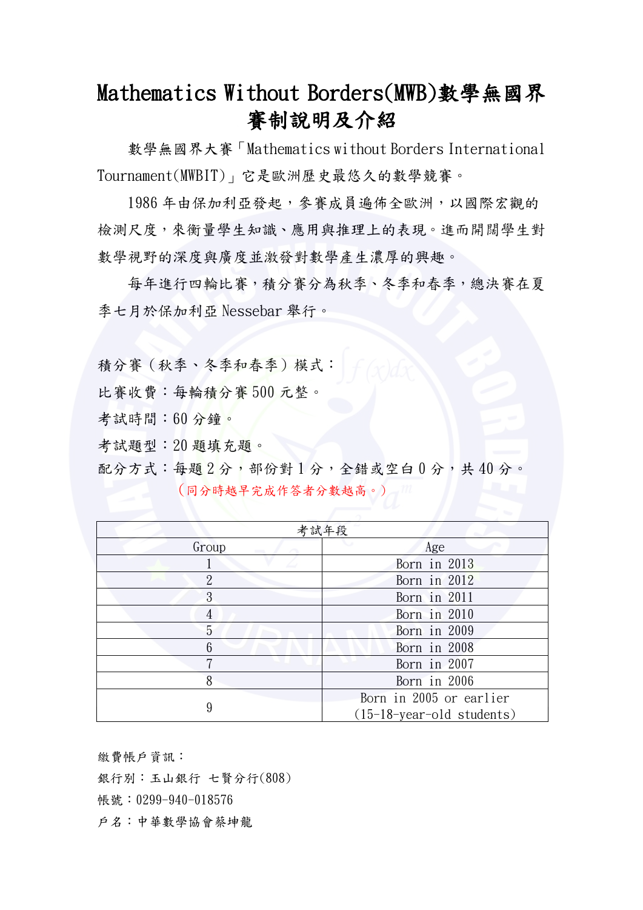## Mathematics Without Borders(MWB)數學無國界 賽制說明及介紹

 數學無國界大賽「Mathematics without Borders International Tournament(MWBIT)」它是歐洲歷史最悠久的數學競賽。

 1986 年由保加利亞發起,參賽成員遍佈全歐洲,以國際宏觀的 檢測尺度,來衡量學生知識、應用與推理上的表現。進而開闊學生對 數學視野的深度與廣度並激發對數學產生濃厚的興趣。

 每年進行四輪比賽,積分賽分為秋季、冬季和春季,總決賽在夏 季七月於保加利亞 Nessebar 舉行。

積分賽(秋季、冬季和春季)模式:

比賽收費:每輪積分賽 500 元整。

考試時間:60 分鐘。

考試題型:20 題填充題。

配分方式:每題 2分,部份對 1分,全錯或空白 0分,共40分。 (同分時越早完成作答者分數越高。)

| 考試年段           |                                                        |  |  |
|----------------|--------------------------------------------------------|--|--|
| Group          | Age                                                    |  |  |
|                | Born in 2013                                           |  |  |
| $\overline{2}$ | Born in 2012                                           |  |  |
| 3              | Born in 2011                                           |  |  |
| 4              | Born in 2010                                           |  |  |
| 5              | Born in 2009                                           |  |  |
| 6              | Born in 2008                                           |  |  |
| 7              | Born in 2007                                           |  |  |
| 8              | Born in 2006                                           |  |  |
| 9              | Born in 2005 or earlier<br>$(15-18-year-old students)$ |  |  |

繳費帳戶資訊: 銀行別:玉山銀行 七賢分行(808) 帳號: 0299-940-018576 戶名:中華數學協會蔡坤龍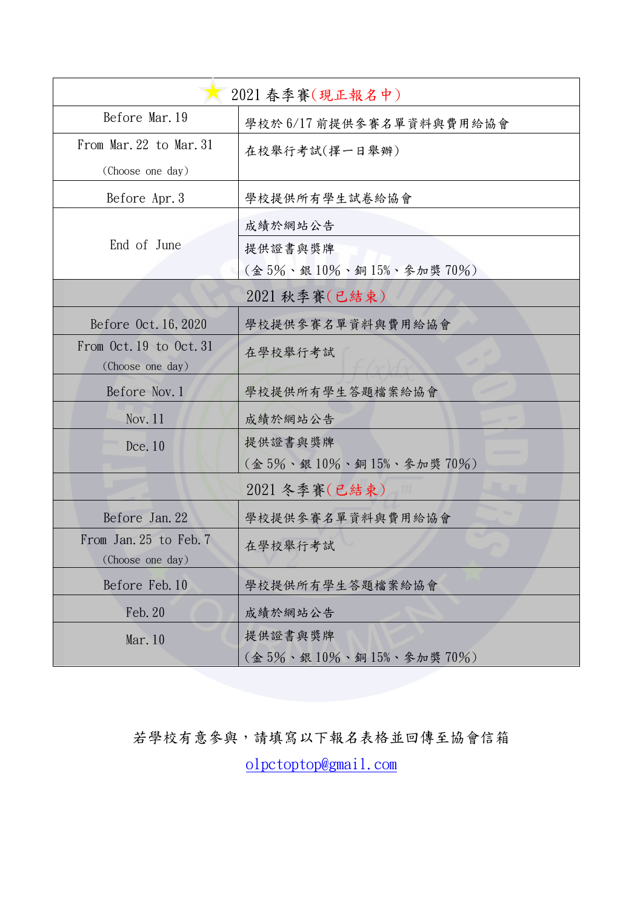| 2021 春季賽(現正報名中)                             |                               |  |  |  |
|---------------------------------------------|-------------------------------|--|--|--|
| Before Mar. 19                              | 學校於 6/17 前提供參賽名單資料與費用給協會      |  |  |  |
| From Mar. 22 to Mar. 31                     | 在校舉行考試(擇一日舉辦)                 |  |  |  |
| (Choose one day)                            |                               |  |  |  |
| Before Apr. 3                               | 學校提供所有學生試卷給協會                 |  |  |  |
|                                             | 成績於網站公告                       |  |  |  |
| End of June                                 | 提供證書與獎牌                       |  |  |  |
|                                             | (金5%、銀10%、銅15%、參加獎70%)        |  |  |  |
|                                             | 2021 秋季賽(已結束)                 |  |  |  |
| Before 0ct. 16, 2020                        | 學校提供參賽名單資料與費用給協會              |  |  |  |
| From Oct. 19 to Oct. 31<br>(Choose one day) | 在學校舉行考試                       |  |  |  |
| Before Nov. 1                               | 學校提供所有學生答題檔案給協會               |  |  |  |
| Nov. $11$                                   | 成績於網站公告                       |  |  |  |
| Dce. 10                                     | 提供證書與獎牌                       |  |  |  |
|                                             | (金 5%、銀 10%、銅 15%、參加獎 70%)    |  |  |  |
|                                             | 2021 冬季賽(已結束)                 |  |  |  |
| Before Jan. 22                              | 學校提供參賽名單資料與費用給協會              |  |  |  |
| From Jan. 25 to Feb. 7                      | 在學校舉行考試                       |  |  |  |
| (Choose one day)                            |                               |  |  |  |
| Before Feb. 10                              | 學校提供所有學生答題檔案給協會               |  |  |  |
| Feb. 20                                     | 成績於網站公告                       |  |  |  |
| Mar. 10                                     | 提供證書與獎牌                       |  |  |  |
|                                             | $($ 金 5%、銀 10%、銅 15%、參加獎 70%) |  |  |  |

## 若學校有意參與,請填寫以下報名表格並回傳至協會信箱

[olpctoptop@gmail.com](mailto:olpctoptop@gmail.com)